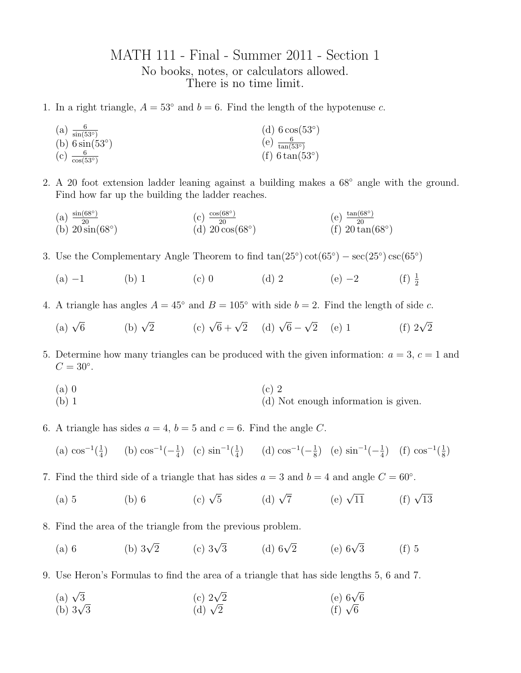## MATH 111 - Final - Summer 2011 - Section 1 No books, notes, or calculators allowed. There is no time limit.

- 1. In a right triangle,  $A = 53^\circ$  and  $b = 6$ . Find the length of the hypotenuse c.
	- (a)  $\frac{6}{\sin(53°)}$  $(b)$  6 sin $(53°)$  $(c)$   $\frac{6}{\cos(53°)}$ (d)  $6 \cos(53°)$  $(e)$   $\frac{6}{\tan(53°)}$  $(f)$  6 tan $(53°)$
- 2. A 20 foot extension ladder leaning against a building makes a 68◦ angle with the ground. Find how far up the building the ladder reaches.
	- $(a) \frac{\sin(68°)}{20}$ (b)  $20 \sin(68°)$ (c)  $\frac{\cos(68°)}{20}$ <br>(d)  $20 \cos(68°)$ (e)  $\frac{\tan(68°)}{20}$ <br>(f)  $20 \tan(68°)$
- 3. Use the Complementary Angle Theorem to find  $tan(25°) cot(65°) sec(25°) csc(65°)$ 
	- (a)  $-1$  (b) 1 (c) 0 (d) 2 (e)  $-2$  (f)  $\frac{1}{2}$
- 4. A triangle has angles  $A = 45^\circ$  and  $B = 105^\circ$  with side  $b = 2$ . Find the length of side c.
	- (a)  $\sqrt{6}$  (b)  $\sqrt{2}$  (c)  $\sqrt{6} + \sqrt{2}$  (d)  $\sqrt{6} \sqrt{2}$  (e) 1 (f)  $2\sqrt{2}$
- 5. Determine how many triangles can be produced with the given information:  $a = 3, c = 1$  and  $C = 30^\circ$ .
	- (a) 0 (b) 1 (c) 2
		- (d) Not enough information is given.
- 6. A triangle has sides  $a = 4$ ,  $b = 5$  and  $c = 6$ . Find the angle C.
	- (a)  $\cos^{-1}(\frac{1}{4})$  (b)  $\cos^{-1}(-\frac{1}{4})$  (c)  $\sin^{-1}(\frac{1}{4})$  (d)  $\cos^{-1}(-\frac{1}{8})$  (e)  $\sin^{-1}(-\frac{1}{4})$  (f)  $\cos^{-1}(\frac{1}{8})$
- 7. Find the third side of a triangle that has sides  $a = 3$  and  $b = 4$  and angle  $C = 60°$ .
	- (a) 5 (b) 6 (c)  $\sqrt{5}$  (d)  $\sqrt{7}$  (e)  $\sqrt{11}$  (f)  $\sqrt{13}$
- 8. Find the area of the triangle from the previous problem.
	- (a) 6 (b)  $3\sqrt{2}$  (c)  $3\sqrt{3}$  (d)  $6\sqrt{2}$  (e)  $6\sqrt{3}$  (f) 5
- 9. Use Heron's Formulas to find the area of a triangle that has side lengths 5, 6 and 7.
	- (a)  $\sqrt{3}$ (b)  $3\sqrt{3}$ (c)  $2\sqrt{2}$  $\frac{(-1)^{1}}{(d)} \sqrt{2}$ (e) 6√<sup>6</sup>  $(f)$   $\sqrt{6}$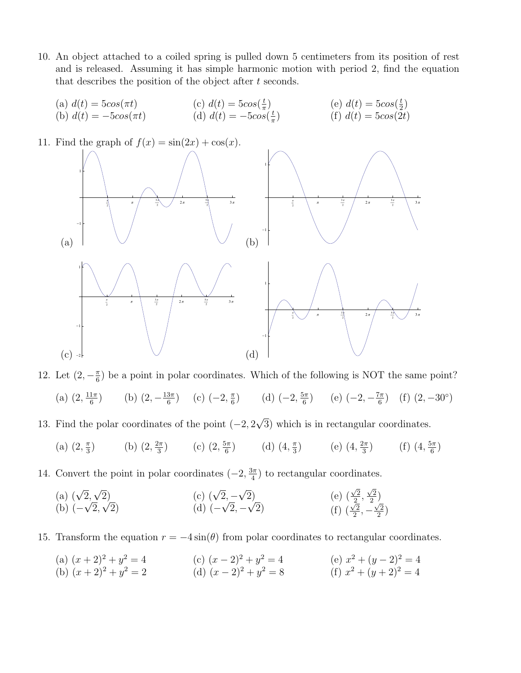- 10. An object attached to a coiled spring is pulled down 5 centimeters from its position of rest and is released. Assuming it has simple harmonic motion with period 2, find the equation that describes the position of the object after t seconds.
	- (a)  $d(t) = 5\cos(\pi t)$ (b)  $d(t) = -5\cos(\pi t)$ (c)  $d(t) = 5\cos(\frac{t}{\pi})$ (d)  $d(t) = -5\cos(\frac{t}{\pi})$ (e)  $d(t) = 5\cos(\frac{t}{2})$ (f)  $d(t) = 5\cos(2t)$



12. Let  $(2, -\frac{\pi}{6})$  be a point in polar coordinates. Which of the following is NOT the same point?

- (a)  $(2, \frac{11\pi}{6})$  (b)  $(2, -\frac{13\pi}{6})$  (c)  $(-2, \frac{\pi}{6})$  (d)  $(-2, \frac{5\pi}{6})$  (e)  $(-2, -\frac{7\pi}{6})$  (f)  $(2, -30^{\circ})$
- 13. Find the polar coordinates of the point  $(-2, 2\sqrt{3})$  which is in rectangular coordinates.
	- (a)  $(2, \frac{\pi}{3})$  (b)  $(2, \frac{2\pi}{3})$  (c)  $(2, \frac{5\pi}{6})$  (d)  $(4, \frac{\pi}{3})$  (e)  $(4, \frac{2\pi}{3})$  (f)  $(4, \frac{5\pi}{6})$
- 14. Convert the point in polar coordinates  $(-2, \frac{3\pi}{4})$  to rectangular coordinates.
	- (a)  $(\sqrt{2}, \sqrt{2})$ (b)  $(-\sqrt{2}, \sqrt{2})$ (c)  $(\sqrt{2}, -\sqrt{2})$ (d)  $(-\sqrt{2}, -\sqrt{2})$ (e)  $(\frac{\sqrt{2}}{2}, \frac{\sqrt{2}}{2})$ (f)  $(\frac{\sqrt{2}}{2}, -\frac{\sqrt{2}}{2})$
- 15. Transform the equation  $r = -4 \sin(\theta)$  from polar coordinates to rectangular coordinates.
	- (a)  $(x+2)^2 + y^2 = 4$ (b)  $(x+2)^2 + y^2 = 2$ (c)  $(x-2)^2 + y^2 = 4$ (d)  $(x-2)^2 + y^2 = 8$ (e)  $x^2 + (y-2)^2 = 4$ (f)  $x^2 + (y+2)^2 = 4$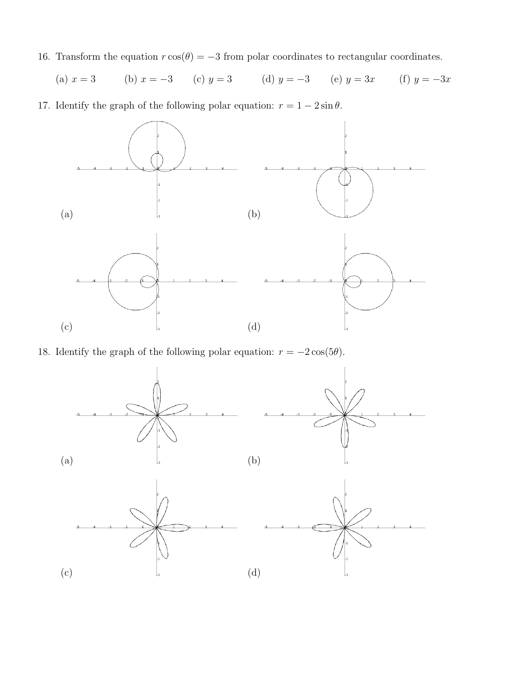16. Transform the equation  $r \cos(\theta) = -3$  from polar coordinates to rectangular coordinates.

(a) 
$$
x = 3
$$
 (b)  $x = -3$  (c)  $y = 3$  (d)  $y = -3$  (e)  $y = 3x$  (f)  $y = -3x$ 

17. Identify the graph of the following polar equation:  $r = 1 - 2 \sin \theta$ .



18. Identify the graph of the following polar equation:  $r = -2\cos(5\theta)$ .

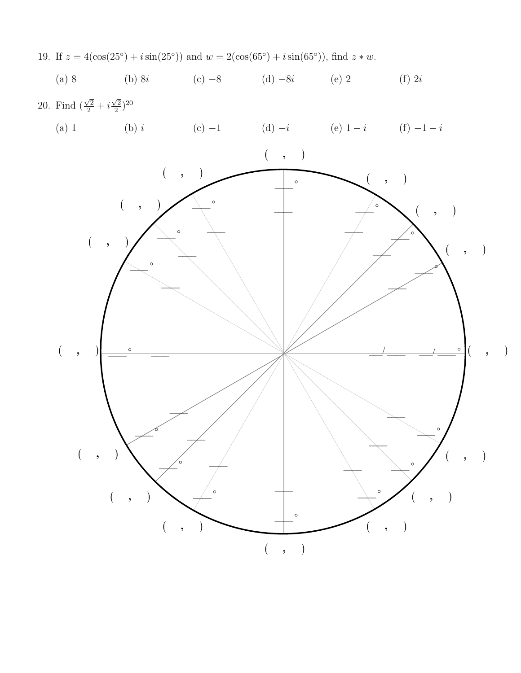

19. If  $z = 4(\cos(25°) + i\sin(25°))$  and  $w = 2(\cos(65°) + i\sin(65°))$ , find  $z * w$ .